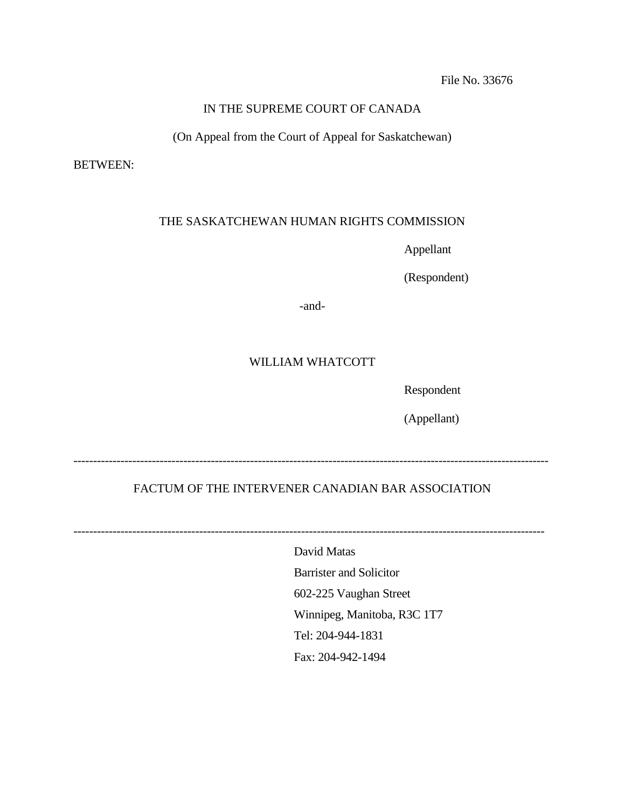# IN THE SUPREME COURT OF CANADA

(On Appeal from the Court of Appeal for Saskatchewan)

BETWEEN:

# THE SASKATCHEWAN HUMAN RIGHTS COMMISSION

Appellant

(Respondent)

-and-

# WILLIAM WHATCOTT

Respondent

(Appellant)

-------------------------------------------------------------------------------------------------------------------------

# FACTUM OF THE INTERVENER CANADIAN BAR ASSOCIATION

------------------------------------------------------------------------------------------------------------------------

David Matas Barrister and Solicitor 602-225 Vaughan Street Winnipeg, Manitoba, R3C 1T7 Tel: 204-944-1831 Fax: 204-942-1494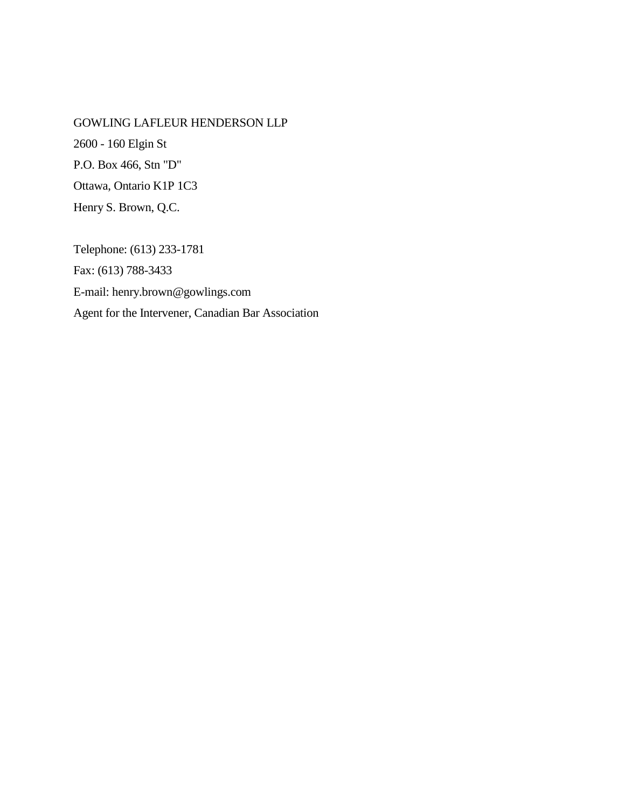GOWLING LAFLEUR HENDERSON LLP 2600 - 160 Elgin St P.O. Box 466, Stn "D" Ottawa, Ontario K1P 1C3 Henry S. Brown, Q.C.

Telephone: (613) 233-1781 Fax: (613) 788-3433 E-mail: henry.brown@gowlings.com Agent for the Intervener, Canadian Bar Association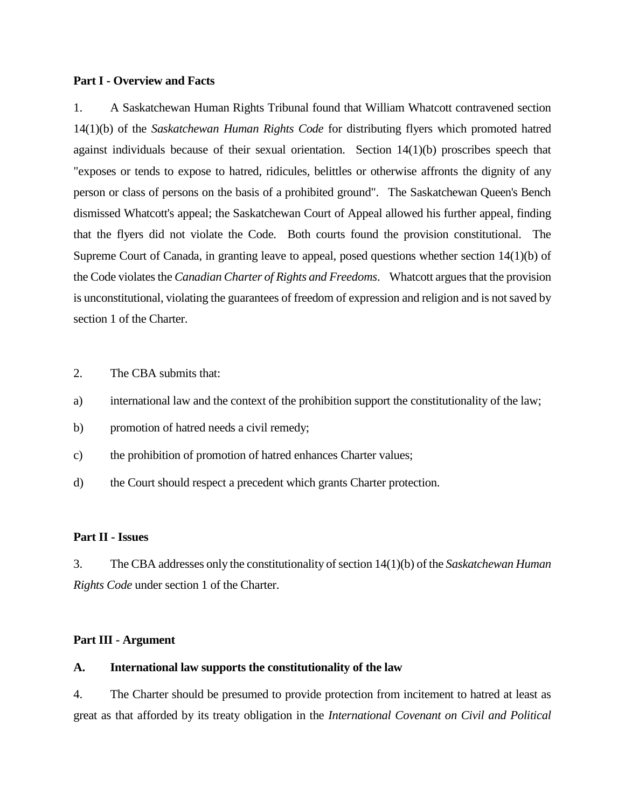#### **Part I - Overview and Facts**

1. A Saskatchewan Human Rights Tribunal found that William Whatcott contravened section 14(1)(b) of the *Saskatchewan Human Rights Code* for distributing flyers which promoted hatred against individuals because of their sexual orientation. Section 14(1)(b) proscribes speech that "exposes or tends to expose to hatred, ridicules, belittles or otherwise affronts the dignity of any person or class of persons on the basis of a prohibited ground". The Saskatchewan Queen's Bench dismissed Whatcott's appeal; the Saskatchewan Court of Appeal allowed his further appeal, finding that the flyers did not violate the Code. Both courts found the provision constitutional. The Supreme Court of Canada, in granting leave to appeal, posed questions whether section 14(1)(b) of the Code violates the *Canadian Charter of Rights and Freedoms*. Whatcott argues that the provision is unconstitutional, violating the guarantees of freedom of expression and religion and is not saved by section 1 of the Charter.

2. The CBA submits that:

- a) international law and the context of the prohibition support the constitutionality of the law;
- b) promotion of hatred needs a civil remedy;
- c) the prohibition of promotion of hatred enhances Charter values;
- d) the Court should respect a precedent which grants Charter protection.

#### **Part II - Issues**

3. The CBA addresses only the constitutionality of section 14(1)(b) of the *Saskatchewan Human Rights Code* under section 1 of the Charter.

### **Part III - Argument**

### **A. International law supports the constitutionality of the law**

4. The Charter should be presumed to provide protection from incitement to hatred at least as great as that afforded by its treaty obligation in the *International Covenant on Civil and Political*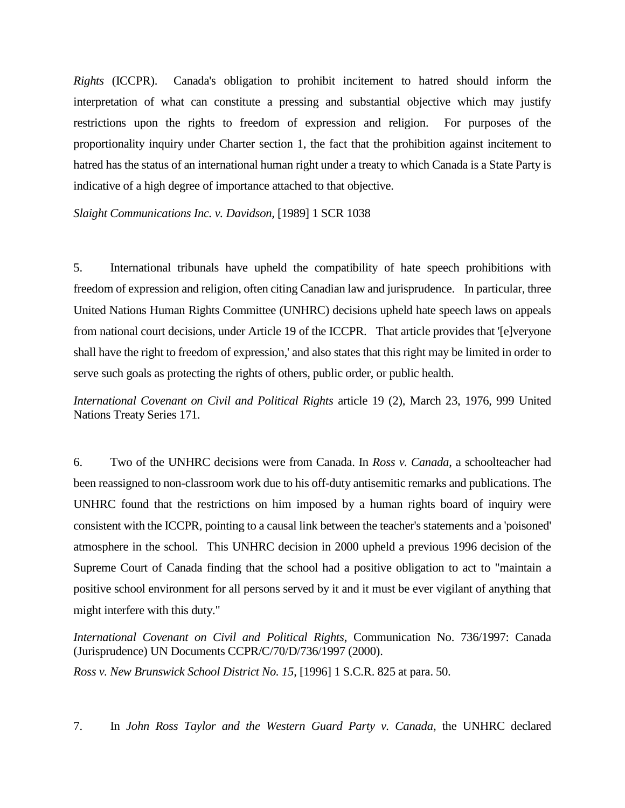*Rights* (ICCPR). Canada's obligation to prohibit incitement to hatred should inform the interpretation of what can constitute a pressing and substantial objective which may justify restrictions upon the rights to freedom of expression and religion. For purposes of the proportionality inquiry under Charter section 1, the fact that the prohibition against incitement to hatred has the status of an international human right under a treaty to which Canada is a State Party is indicative of a high degree of importance attached to that objective.

*Slaight Communications Inc. v. Davidson,* [1989] 1 SCR 1038

5. International tribunals have upheld the compatibility of hate speech prohibitions with freedom of expression and religion, often citing Canadian law and jurisprudence. In particular, three United Nations Human Rights Committee (UNHRC) decisions upheld hate speech laws on appeals from national court decisions, under Article 19 of the ICCPR. That article provides that '[e]veryone shall have the right to freedom of expression,' and also states that this right may be limited in order to serve such goals as protecting the rights of others, public order, or public health.

*International Covenant on Civil and Political Rights* article 19 (2), March 23, 1976, 999 United Nations Treaty Series 171.

6. Two of the UNHRC decisions were from Canada. In *Ross v. Canada*, a schoolteacher had been reassigned to non-classroom work due to his off-duty antisemitic remarks and publications. The UNHRC found that the restrictions on him imposed by a human rights board of inquiry were consistent with the ICCPR, pointing to a causal link between the teacher's statements and a 'poisoned' atmosphere in the school. This UNHRC decision in 2000 upheld a previous 1996 decision of the Supreme Court of Canada finding that the school had a positive obligation to act to "maintain a positive school environment for all persons served by it and it must be ever vigilant of anything that might interfere with this duty."

*International Covenant on Civil and Political Rights*, Communication No. 736/1997: Canada (Jurisprudence) UN Documents CCPR/C/70/D/736/1997 (2000).

*Ross v. New Brunswick School District No. 15*, [1996] 1 S.C.R. 825 at para. 50.

7. In *John Ross Taylor and the Western Guard Party v. Canada*, the UNHRC declared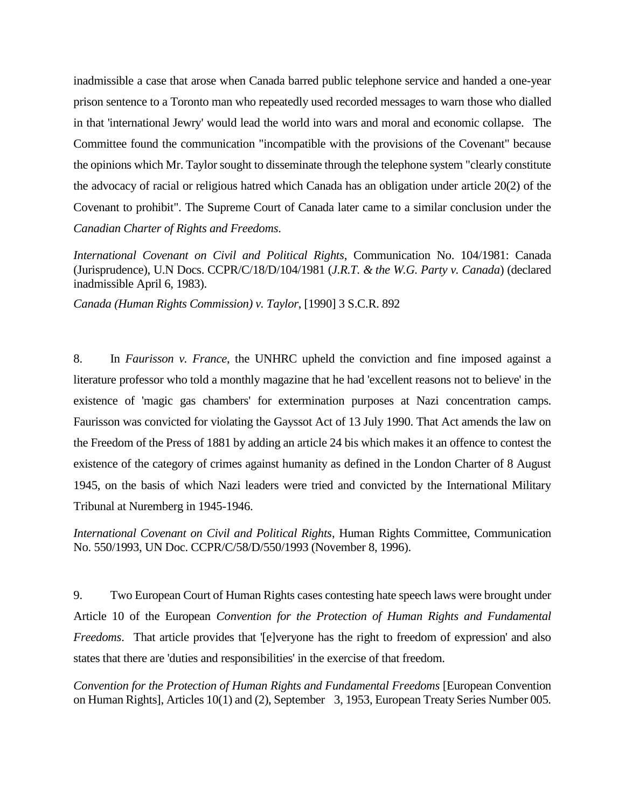inadmissible a case that arose when Canada barred public telephone service and handed a one-year prison sentence to a Toronto man who repeatedly used recorded messages to warn those who dialled in that 'international Jewry' would lead the world into wars and moral and economic collapse. The Committee found the communication "incompatible with the provisions of the Covenant" because the opinions which Mr. Taylor sought to disseminate through the telephone system "clearly constitute the advocacy of racial or religious hatred which Canada has an obligation under article 20(2) of the Covenant to prohibit". The Supreme Court of Canada later came to a similar conclusion under the *Canadian Charter of Rights and Freedoms*.

*International Covenant on Civil and Political Rights*, Communication No. 104/1981: Canada (Jurisprudence), U.N Docs. CCPR/C/18/D/104/1981 (*J.R.T. & the W.G. Party v. Canada*) (declared inadmissible April 6, 1983).

*Canada (Human Rights Commission) v. Taylor*, [1990] 3 S.C.R. 892

8. In *Faurisson v. France*, the UNHRC upheld the conviction and fine imposed against a literature professor who told a monthly magazine that he had 'excellent reasons not to believe' in the existence of 'magic gas chambers' for extermination purposes at Nazi concentration camps. Faurisson was convicted for violating the Gayssot Act of 13 July 1990. That Act amends the law on the Freedom of the Press of 1881 by adding an article 24 bis which makes it an offence to contest the existence of the category of crimes against humanity as defined in the London Charter of 8 August 1945, on the basis of which Nazi leaders were tried and convicted by the International Military Tribunal at Nuremberg in 1945-1946.

*International Covenant on Civil and Political Rights*, Human Rights Committee, Communication No. 550/1993, UN Doc. CCPR/C/58/D/550/1993 (November 8, 1996).

9. Two European Court of Human Rights cases contesting hate speech laws were brought under Article 10 of the European *Convention for the Protection of Human Rights and Fundamental Freedoms*. That article provides that '[e]veryone has the right to freedom of expression' and also states that there are 'duties and responsibilities' in the exercise of that freedom.

*Convention for the Protection of Human Rights and Fundamental Freedoms* [European Convention on Human Rights], Articles 10(1) and (2), September 3, 1953, European Treaty Series Number 005.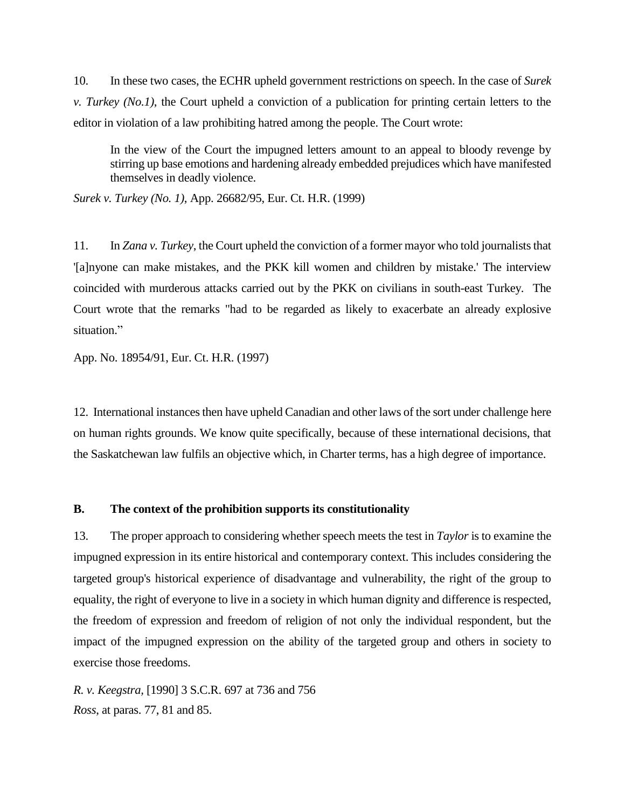10. In these two cases, the ECHR upheld government restrictions on speech. In the case of *Surek v. Turkey (No.1)*, the Court upheld a conviction of a publication for printing certain letters to the editor in violation of a law prohibiting hatred among the people. The Court wrote:

In the view of the Court the impugned letters amount to an appeal to bloody revenge by stirring up base emotions and hardening already embedded prejudices which have manifested themselves in deadly violence.

*Surek v. Turkey (No. 1)*, App. 26682/95, Eur. Ct. H.R. (1999)

11. In *Zana v. Turkey*, the Court upheld the conviction of a former mayor who told journalists that '[a]nyone can make mistakes, and the PKK kill women and children by mistake.' The interview coincided with murderous attacks carried out by the PKK on civilians in south-east Turkey. The Court wrote that the remarks "had to be regarded as likely to exacerbate an already explosive situation."

App. No. 18954/91, Eur. Ct. H.R. (1997)

12. International instances then have upheld Canadian and other laws of the sort under challenge here on human rights grounds. We know quite specifically, because of these international decisions, that the Saskatchewan law fulfils an objective which, in Charter terms, has a high degree of importance.

#### **B. The context of the prohibition supports its constitutionality**

13. The proper approach to considering whether speech meets the test in *Taylor* is to examine the impugned expression in its entire historical and contemporary context. This includes considering the targeted group's historical experience of disadvantage and vulnerability, the right of the group to equality, the right of everyone to live in a society in which human dignity and difference is respected, the freedom of expression and freedom of religion of not only the individual respondent, but the impact of the impugned expression on the ability of the targeted group and others in society to exercise those freedoms.

*R. v. Keegstra,* [1990] 3 S.C.R. 697 at 736 and 756 *Ross*, at paras. 77, 81 and 85.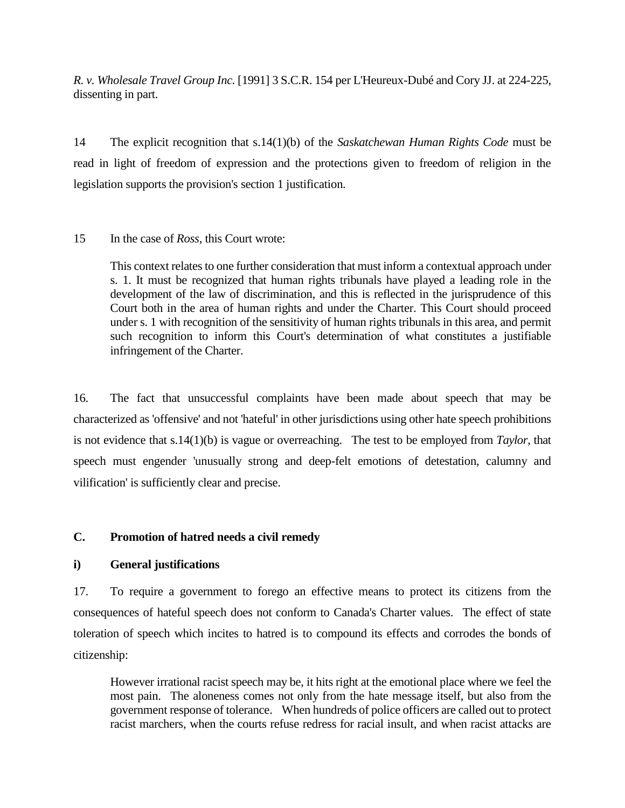*R. v. Wholesale Travel Group Inc.* [1991] 3 S.C.R. 154 per L'Heureux-Dubé and Cory JJ. at 224-225, dissenting in part.

14 The explicit recognition that s.14(1)(b) of the *Saskatchewan Human Rights Code* must be read in light of freedom of expression and the protections given to freedom of religion in the legislation supports the provision's section 1 justification.

# 15 In the case of *Ross*, this Court wrote:

This context relates to one further consideration that must inform a contextual approach under s. 1. It must be recognized that human rights tribunals have played a leading role in the development of the law of discrimination, and this is reflected in the jurisprudence of this Court both in the area of human rights and under the Charter. This Court should proceed under s. 1 with recognition of the sensitivity of human rights tribunals in this area, and permit such recognition to inform this Court's determination of what constitutes a justifiable infringement of the Charter.

16. The fact that unsuccessful complaints have been made about speech that may be characterized as 'offensive' and not 'hateful' in other jurisdictions using other hate speech prohibitions is not evidence that s.14(1)(b) is vague or overreaching. The test to be employed from *Taylor*, that speech must engender 'unusually strong and deep-felt emotions of detestation, calumny and vilification' is sufficiently clear and precise.

## **C. Promotion of hatred needs a civil remedy**

## **i) General justifications**

17. To require a government to forego an effective means to protect its citizens from the consequences of hateful speech does not conform to Canada's Charter values. The effect of state toleration of speech which incites to hatred is to compound its effects and corrodes the bonds of citizenship:

However irrational racist speech may be, it hits right at the emotional place where we feel the most pain. The aloneness comes not only from the hate message itself, but also from the government response of tolerance. When hundreds of police officers are called out to protect racist marchers, when the courts refuse redress for racial insult, and when racist attacks are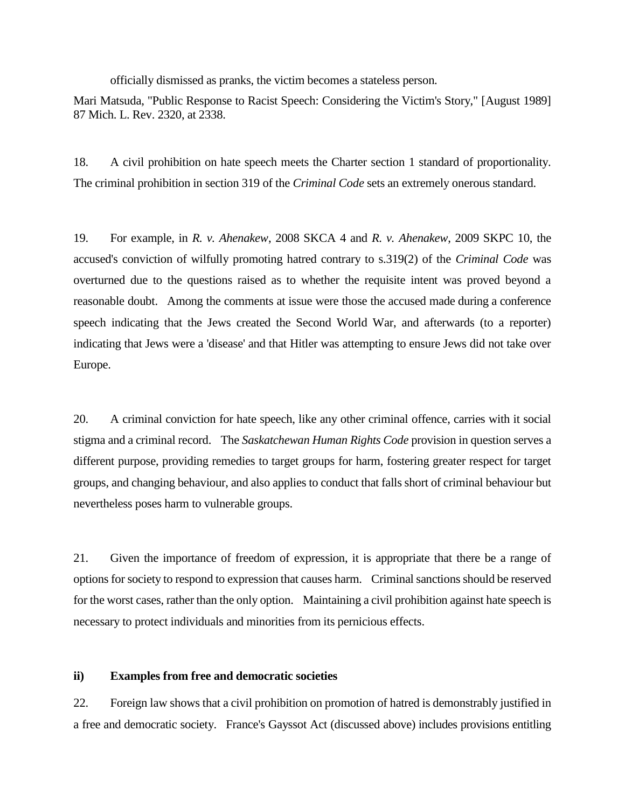officially dismissed as pranks, the victim becomes a stateless person.

Mari Matsuda, "Public Response to Racist Speech: Considering the Victim's Story," [August 1989] 87 Mich. L. Rev. 2320, at 2338.

18. A civil prohibition on hate speech meets the Charter section 1 standard of proportionality. The criminal prohibition in section 319 of the *Criminal Code* sets an extremely onerous standard.

19. For example, in *R. v. Ahenakew*, 2008 SKCA 4 and *R. v. Ahenakew*, 2009 SKPC 10, the accused's conviction of wilfully promoting hatred contrary to s.319(2) of the *Criminal Code* was overturned due to the questions raised as to whether the requisite intent was proved beyond a reasonable doubt. Among the comments at issue were those the accused made during a conference speech indicating that the Jews created the Second World War, and afterwards (to a reporter) indicating that Jews were a 'disease' and that Hitler was attempting to ensure Jews did not take over Europe.

20. A criminal conviction for hate speech, like any other criminal offence, carries with it social stigma and a criminal record. The *Saskatchewan Human Rights Code* provision in question serves a different purpose, providing remedies to target groups for harm, fostering greater respect for target groups, and changing behaviour, and also applies to conduct that falls short of criminal behaviour but nevertheless poses harm to vulnerable groups.

21. Given the importance of freedom of expression, it is appropriate that there be a range of options for society to respond to expression that causes harm. Criminal sanctions should be reserved for the worst cases, rather than the only option. Maintaining a civil prohibition against hate speech is necessary to protect individuals and minorities from its pernicious effects.

### **ii) Examples from free and democratic societies**

22. Foreign law shows that a civil prohibition on promotion of hatred is demonstrably justified in a free and democratic society. France's Gayssot Act (discussed above) includes provisions entitling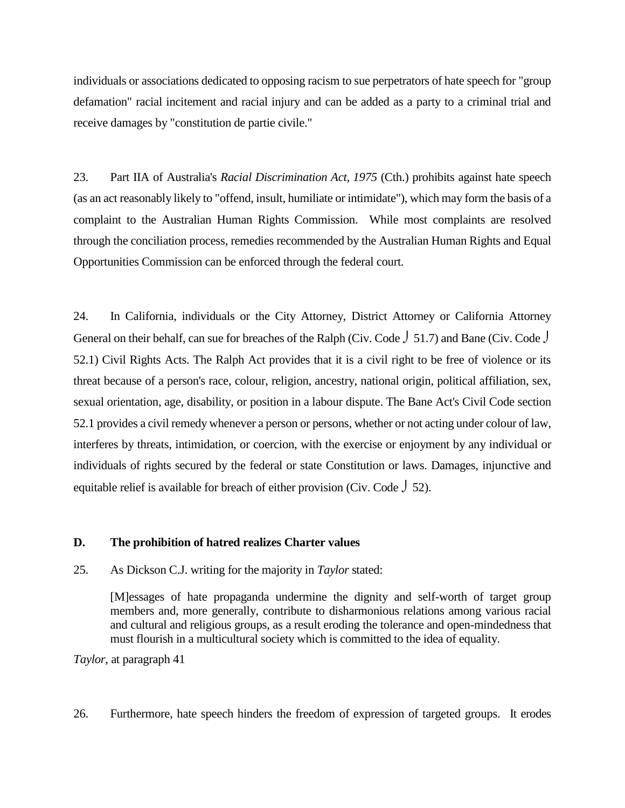individuals or associations dedicated to opposing racism to sue perpetrators of hate speech for "group defamation" racial incitement and racial injury and can be added as a party to a criminal trial and receive damages by "constitution de partie civile."

23. Part IIA of Australia's *Racial Discrimination Act, 1975* (Cth.) prohibits against hate speech (as an act reasonably likely to "offend, insult, humiliate or intimidate"), which may form the basis of a complaint to the Australian Human Rights Commission. While most complaints are resolved through the conciliation process, remedies recommended by the Australian Human Rights and Equal Opportunities Commission can be enforced through the federal court.

24. In California, individuals or the City Attorney, District Attorney or California Attorney General on their behalf, can sue for breaches of the Ralph (Civ. Code  $\int$  51.7) and Bane (Civ. Code  $\int$ 52.1) Civil Rights Acts. The Ralph Act provides that it is a civil right to be free of violence or its threat because of a person's race, colour, religion, ancestry, national origin, political affiliation, sex, sexual orientation, age, disability, or position in a labour dispute. The Bane Act's Civil Code section 52.1 provides a civil remedy whenever a person or persons, whether or not acting under colour of law, interferes by threats, intimidation, or coercion, with the exercise or enjoyment by any individual or individuals of rights secured by the federal or state Constitution or laws. Damages, injunctive and equitable relief is available for breach of either provision (Civ. Code  $\int$  52).

#### **D. The prohibition of hatred realizes Charter values**

25. As Dickson C.J. writing for the majority in *Taylor* stated:

[M]essages of hate propaganda undermine the dignity and self-worth of target group members and, more generally, contribute to disharmonious relations among various racial and cultural and religious groups, as a result eroding the tolerance and open-mindedness that must flourish in a multicultural society which is committed to the idea of equality.

*Taylor*, at paragraph 41

26. Furthermore, hate speech hinders the freedom of expression of targeted groups. It erodes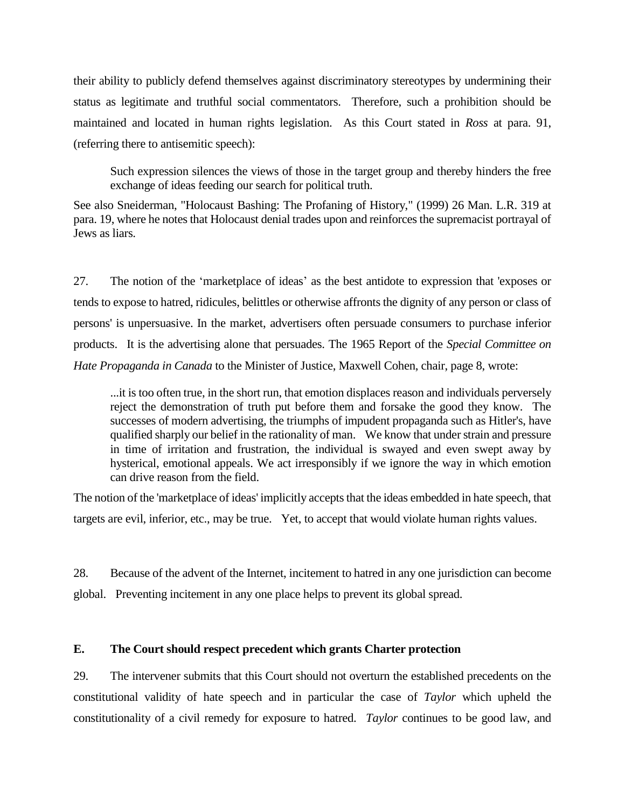their ability to publicly defend themselves against discriminatory stereotypes by undermining their status as legitimate and truthful social commentators. Therefore, such a prohibition should be maintained and located in human rights legislation. As this Court stated in *Ross* at para. 91, (referring there to antisemitic speech):

Such expression silences the views of those in the target group and thereby hinders the free exchange of ideas feeding our search for political truth.

See also Sneiderman, "Holocaust Bashing: The Profaning of History," (1999) 26 Man. L.R. 319 at para. 19, where he notes that Holocaust denial trades upon and reinforces the supremacist portrayal of Jews as liars.

27. The notion of the 'marketplace of ideas' as the best antidote to expression that 'exposes or tends to expose to hatred, ridicules, belittles or otherwise affronts the dignity of any person or class of persons' is unpersuasive. In the market, advertisers often persuade consumers to purchase inferior products. It is the advertising alone that persuades. The 1965 Report of the *Special Committee on Hate Propaganda in Canada* to the Minister of Justice, Maxwell Cohen, chair, page 8, wrote:

...it is too often true, in the short run, that emotion displaces reason and individuals perversely reject the demonstration of truth put before them and forsake the good they know. The successes of modern advertising, the triumphs of impudent propaganda such as Hitler's, have qualified sharply our belief in the rationality of man. We know that under strain and pressure in time of irritation and frustration, the individual is swayed and even swept away by hysterical, emotional appeals. We act irresponsibly if we ignore the way in which emotion can drive reason from the field.

The notion of the 'marketplace of ideas' implicitly accepts that the ideas embedded in hate speech, that targets are evil, inferior, etc., may be true. Yet, to accept that would violate human rights values.

28. Because of the advent of the Internet, incitement to hatred in any one jurisdiction can become global. Preventing incitement in any one place helps to prevent its global spread.

## **E. The Court should respect precedent which grants Charter protection**

29. The intervener submits that this Court should not overturn the established precedents on the constitutional validity of hate speech and in particular the case of *Taylor* which upheld the constitutionality of a civil remedy for exposure to hatred. *Taylor* continues to be good law, and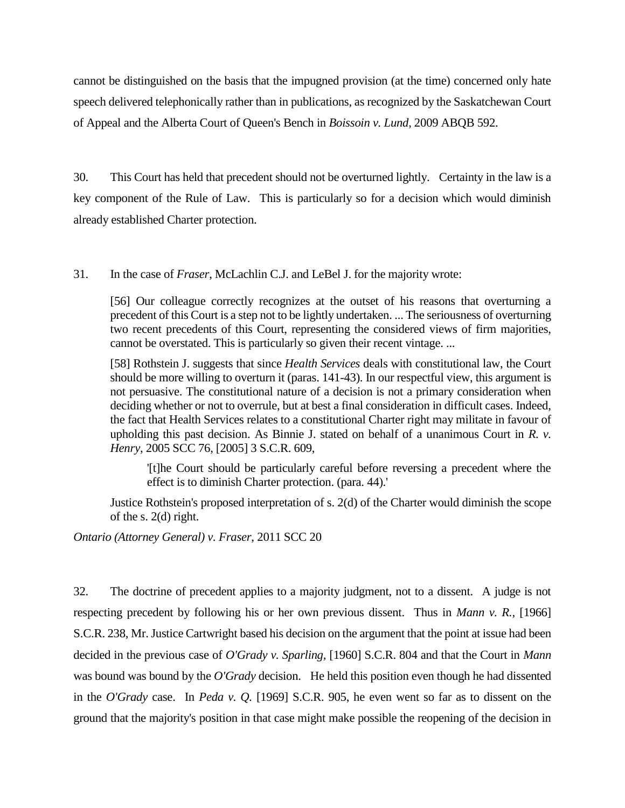cannot be distinguished on the basis that the impugned provision (at the time) concerned only hate speech delivered telephonically rather than in publications, as recognized by the Saskatchewan Court of Appeal and the Alberta Court of Queen's Bench in *Boissoin v. Lund*, 2009 ABQB 592.

30. This Court has held that precedent should not be overturned lightly. Certainty in the law is a key component of the Rule of Law. This is particularly so for a decision which would diminish already established Charter protection.

31. In the case of *Fraser*, McLachlin C.J. and LeBel J. for the majority wrote:

[56] Our colleague correctly recognizes at the outset of his reasons that overturning a precedent of this Court is a step not to be lightly undertaken. ... The seriousness of overturning two recent precedents of this Court, representing the considered views of firm majorities, cannot be overstated. This is particularly so given their recent vintage. ...

[58] Rothstein J. suggests that since *Health Services* deals with constitutional law, the Court should be more willing to overturn it (paras. 141-43). In our respectful view, this argument is not persuasive. The constitutional nature of a decision is not a primary consideration when deciding whether or not to overrule, but at best a final consideration in difficult cases. Indeed, the fact that Health Services relates to a constitutional Charter right may militate in favour of upholding this past decision. As Binnie J. stated on behalf of a unanimous Court in *R. v. Henry*, 2005 SCC 76, [2005] 3 S.C.R. 609,

'[t]he Court should be particularly careful before reversing a precedent where the effect is to diminish Charter protection. (para. 44).'

Justice Rothstein's proposed interpretation of s. 2(d) of the Charter would diminish the scope of the s. 2(d) right.

*Ontario (Attorney General) v. Fraser*, 2011 SCC 20

32. The doctrine of precedent applies to a majority judgment, not to a dissent. A judge is not respecting precedent by following his or her own previous dissent. Thus in *Mann v. R.,* [1966] S.C.R. 238, Mr. Justice Cartwright based his decision on the argument that the point at issue had been decided in the previous case of *O'Grady v. Sparling,* [1960] S.C.R. 804 and that the Court in *Mann* was bound was bound by the *O'Grady* decision. He held this position even though he had dissented in the *O'Grady* case. In *Peda v. Q.* [1969] S.C.R. 905, he even went so far as to dissent on the ground that the majority's position in that case might make possible the reopening of the decision in